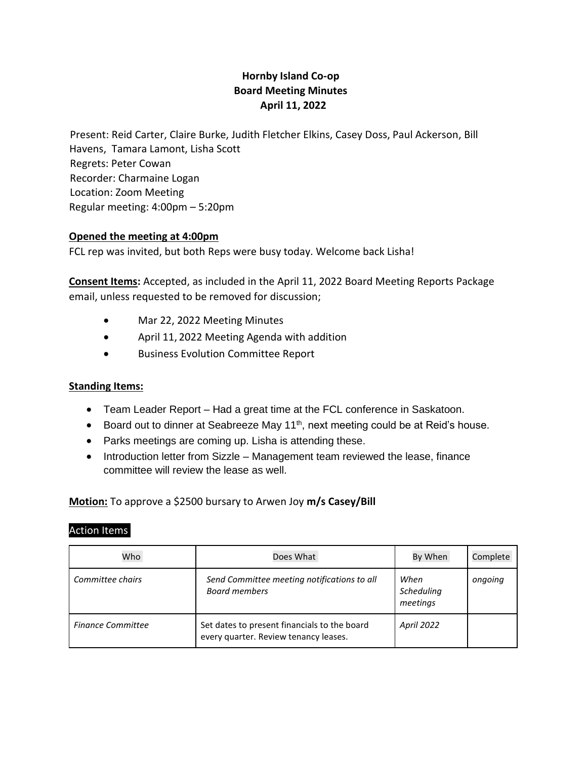# **Hornby Island Co-op Board Meeting Minutes April 11, 2022**

Present: Reid Carter, Claire Burke, Judith Fletcher Elkins, Casey Doss, Paul Ackerson, Bill Havens, Tamara Lamont, Lisha Scott Regrets: Peter Cowan Recorder: Charmaine Logan Location: Zoom Meeting Regular meeting: 4:00pm – 5:20pm

## **Opened the meeting at 4:00pm**

FCL rep was invited, but both Reps were busy today. Welcome back Lisha!

**Consent Items:** Accepted, as included in the April 11, 2022 Board Meeting Reports Package email, unless requested to be removed for discussion;

- Mar 22, 2022 Meeting Minutes
- April 11, 2022 Meeting Agenda with addition
- Business Evolution Committee Report

### **Standing Items:**

- Team Leader Report Had a great time at the FCL conference in Saskatoon.
- Board out to dinner at Seabreeze May 11<sup>th</sup>, next meeting could be at Reid's house.
- Parks meetings are coming up. Lisha is attending these.
- Introduction letter from Sizzle Management team reviewed the lease, finance committee will review the lease as well.

### **Motion:** To approve a \$2500 bursary to Arwen Joy **m/s Casey/Bill**

#### Action Items

| Who                      | Does What                                                                             | By When                        | Complete |
|--------------------------|---------------------------------------------------------------------------------------|--------------------------------|----------|
| Committee chairs         | Send Committee meeting notifications to all<br><b>Board members</b>                   | When<br>Scheduling<br>meetings | ongoing  |
| <b>Finance Committee</b> | Set dates to present financials to the board<br>every quarter. Review tenancy leases. | <b>April 2022</b>              |          |